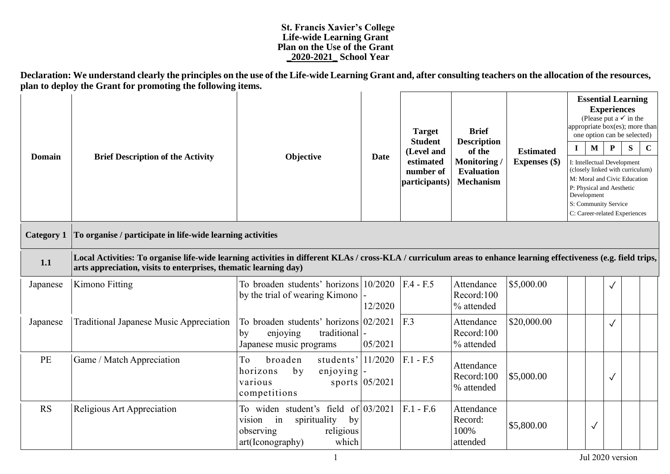## **St. Francis Xavier's College Life-wide Learning Grant Plan on the Use of the Grant \_2020-2021\_ School Year**

**Declaration: We understand clearly the principles on the use of the Life-wide Learning Grant and, after consulting teachers on the allocation of the resources, plan to deploy the Grant for promoting the following items.**

| <b>Domain</b>     | <b>Brief Description of the Activity</b>                                                                                                                                                                                              | Objective                                                                                                                          | <b>Date</b>      | <b>Target</b><br><b>Student</b><br>(Level and<br>estimated<br>number of<br>participants) | <b>Brief</b><br><b>Description</b><br>of the<br>Monitoring<br><b>Evaluation</b><br><b>Mechanism</b> | <b>Estimated</b><br>Expenses (\$) | 1<br>Development | $\mathbf M$  | <b>Essential Learning</b><br><b>Experiences</b><br>(Please put a $\checkmark$ in the<br>appropriate box(es); more than<br>one option can be selected)<br>$\mathbf{P}$<br>I: Intellectual Development<br>(closely linked with curriculum)<br>M: Moral and Civic Education<br>P: Physical and Aesthetic<br>S: Community Service<br>C: Career-related Experiences | ${\bf S}$ | $\mathbf C$ |
|-------------------|---------------------------------------------------------------------------------------------------------------------------------------------------------------------------------------------------------------------------------------|------------------------------------------------------------------------------------------------------------------------------------|------------------|------------------------------------------------------------------------------------------|-----------------------------------------------------------------------------------------------------|-----------------------------------|------------------|--------------|----------------------------------------------------------------------------------------------------------------------------------------------------------------------------------------------------------------------------------------------------------------------------------------------------------------------------------------------------------------|-----------|-------------|
| <b>Category 1</b> | To organise / participate in life-wide learning activities                                                                                                                                                                            |                                                                                                                                    |                  |                                                                                          |                                                                                                     |                                   |                  |              |                                                                                                                                                                                                                                                                                                                                                                |           |             |
| 1.1               | Local Activities: To organise life-wide learning activities in different KLAs / cross-KLA / curriculum areas to enhance learning effectiveness (e.g. field trips,<br>arts appreciation, visits to enterprises, thematic learning day) |                                                                                                                                    |                  |                                                                                          |                                                                                                     |                                   |                  |              |                                                                                                                                                                                                                                                                                                                                                                |           |             |
| Japanese          | Kimono Fitting                                                                                                                                                                                                                        | To broaden students' horizons 10/2020<br>by the trial of wearing Kimono                                                            | 12/2020          | $F.4 - F.5$                                                                              | Attendance<br>Record:100<br>% attended                                                              | \$5,000.00                        |                  |              | $\checkmark$                                                                                                                                                                                                                                                                                                                                                   |           |             |
| Japanese          | <b>Traditional Japanese Music Appreciation</b>                                                                                                                                                                                        | To broaden students' horizons $02/2021$<br>traditional<br>by<br>enjoying<br>Japanese music programs                                | 05/2021          | F.3                                                                                      | Attendance<br>Record:100<br>% attended                                                              | \$20,000.00                       |                  |              | $\checkmark$                                                                                                                                                                                                                                                                                                                                                   |           |             |
| PE                | Game / Match Appreciation                                                                                                                                                                                                             | students' $ 11/2020$<br>To<br>broaden<br>by<br>$enjoying$  -<br>horizons<br>various<br>competitions                                | sports $05/2021$ | $F.1 - F.5$                                                                              | Attendance<br>Record:100<br>% attended                                                              | \$5,000.00                        |                  |              | $\checkmark$                                                                                                                                                                                                                                                                                                                                                   |           |             |
| <b>RS</b>         | Religious Art Appreciation                                                                                                                                                                                                            | To widen student's field of $03/2021$<br>spirituality<br>by<br>in<br>vision<br>religious<br>observing<br>which<br>art(Iconography) |                  | $F.1 - F.6$                                                                              | Attendance<br>Record:<br>100%<br>attended                                                           | \$5,800.00                        |                  | $\checkmark$ |                                                                                                                                                                                                                                                                                                                                                                |           |             |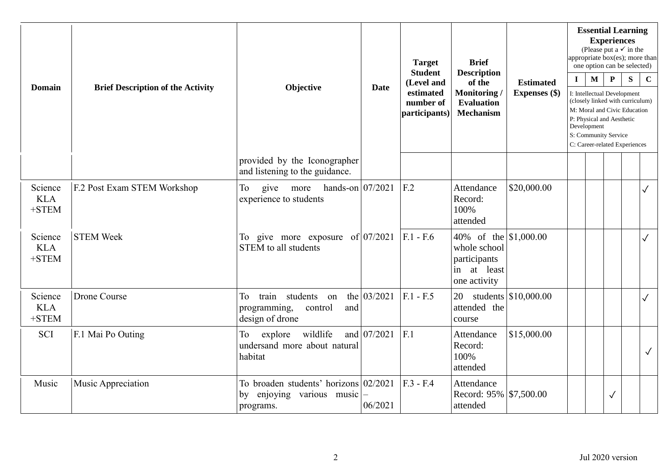| <b>Domain</b>                    | <b>Brief Description of the Activity</b> | Objective                                                                            | <b>Date</b>   | <b>Target</b><br><b>Student</b><br>(Level and<br>estimated<br>number of<br>participants) | <b>Brief</b><br><b>Description</b><br>of the<br>Monitoring/<br><b>Evaluation</b><br><b>Mechanism</b> | <b>Estimated</b><br>Expenses (\$) | $\mathbf I$ | <b>Essential Learning</b><br>(Please put a $\checkmark$ in the<br>appropriate box(es); more than<br>one option can be selected)<br>M<br>I: Intellectual Development<br>(closely linked with curriculum)<br>M: Moral and Civic Education<br>P: Physical and Aesthetic<br>Development<br>S: Community Service<br>C: Career-related Experiences | <b>Experiences</b><br>$\mathbf{P}$ | S | $\mathbf C$  |
|----------------------------------|------------------------------------------|--------------------------------------------------------------------------------------|---------------|------------------------------------------------------------------------------------------|------------------------------------------------------------------------------------------------------|-----------------------------------|-------------|----------------------------------------------------------------------------------------------------------------------------------------------------------------------------------------------------------------------------------------------------------------------------------------------------------------------------------------------|------------------------------------|---|--------------|
|                                  |                                          | provided by the Iconographer<br>and listening to the guidance.                       |               |                                                                                          |                                                                                                      |                                   |             |                                                                                                                                                                                                                                                                                                                                              |                                    |   |              |
| Science<br><b>KLA</b><br>$+STEM$ | F.2 Post Exam STEM Workshop              | give more hands-on $07/2021$<br>To<br>experience to students                         |               | F <sub>12</sub>                                                                          | Attendance<br>Record:<br>100%<br>attended                                                            | \$20,000.00                       |             |                                                                                                                                                                                                                                                                                                                                              |                                    |   | $\checkmark$ |
| Science<br><b>KLA</b><br>$+STEM$ | <b>STEM Week</b>                         | To give more exposure of $ 07/2021 $<br><b>STEM</b> to all students                  |               | $F.1 - F.6$                                                                              | 40\% of the $\vert$ \$1,000.00<br>whole school<br>participants<br>in at least<br>one activity        |                                   |             |                                                                                                                                                                                                                                                                                                                                              |                                    |   | $\checkmark$ |
| Science<br><b>KLA</b><br>$+STEM$ | Drone Course                             | train<br>students on<br>To<br>programming,<br>and<br>control<br>design of drone      | the $03/2021$ | $F.1 - F.5$                                                                              | 20<br>attended the<br>course                                                                         | students $\vert$ \$10,000.00      |             |                                                                                                                                                                                                                                                                                                                                              |                                    |   | $\checkmark$ |
| <b>SCI</b>                       | F.1 Mai Po Outing                        | wildlife<br>explore<br>To<br>undersand more about natural<br>habitat                 | and $07/2021$ | F.1                                                                                      | Attendance<br>Record:<br>100%<br>attended                                                            | \$15,000.00                       |             |                                                                                                                                                                                                                                                                                                                                              |                                    |   | $\checkmark$ |
| Music                            | Music Appreciation                       | To broaden students' horizons $02/2021$<br>enjoying various music<br>by<br>programs. | 06/2021       | $F.3 - F.4$                                                                              | Attendance<br>Record: 95% \\$7,500.00<br>attended                                                    |                                   |             |                                                                                                                                                                                                                                                                                                                                              | $\checkmark$                       |   |              |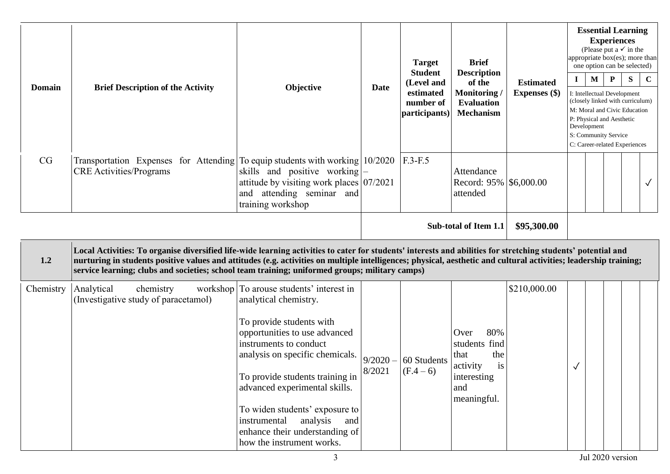| <b>Domain</b> | <b>Brief Description of the Activity</b>                                                                       | Objective                                                                                                                                    | <b>Date</b> | <b>Target</b><br><b>Student</b><br>(Level and<br>estimated<br>number of<br>participants) | <b>Brief</b><br><b>Description</b><br>of the<br><b>Monitoring</b> /<br><b>Evaluation</b><br><b>Mechanism</b> | <b>Estimated</b><br><b>Expenses</b> (\$) | $\bf{I}$ | $\mathbf{M}$<br>Development | <b>Experiences</b><br>$\mathbf{P}$<br>P: Physical and Aesthetic<br>S: Community Service | <b>Essential Learning</b><br>(Please put a $\checkmark$ in the<br>one option can be selected)<br>S<br>I: Intellectual Development<br>(closely linked with curriculum)<br>M: Moral and Civic Education<br>C: Career-related Experiences | appropriate box(es); more than<br>$\mathbf C$ |
|---------------|----------------------------------------------------------------------------------------------------------------|----------------------------------------------------------------------------------------------------------------------------------------------|-------------|------------------------------------------------------------------------------------------|--------------------------------------------------------------------------------------------------------------|------------------------------------------|----------|-----------------------------|-----------------------------------------------------------------------------------------|----------------------------------------------------------------------------------------------------------------------------------------------------------------------------------------------------------------------------------------|-----------------------------------------------|
| CG            | Transportation Expenses for Attending To equip students with working 10/2020<br><b>CRE</b> Activities/Programs | skills and positive working $\vert - \vert$<br>attitude by visiting work places 07/2021<br>attending seminar and<br>and<br>training workshop |             | $F.3-F.5$                                                                                | Attendance<br>Record: 95% \$6,000.00<br>attended                                                             |                                          |          |                             |                                                                                         |                                                                                                                                                                                                                                        | $\checkmark$                                  |
|               |                                                                                                                |                                                                                                                                              |             |                                                                                          | Sub-total of Item 1.1                                                                                        | \$95,300.00                              |          |                             |                                                                                         |                                                                                                                                                                                                                                        |                                               |

| 1.2       | Local Activities: To organise diversified life-wide learning activities to cater for students' interests and abilities for stretching students' potential and<br>nurturing in students positive values and attitudes (e.g. activities on multiple intelligences; physical, aesthetic and cultural activities; leadership training;<br>service learning; clubs and societies; school team training; uniformed groups; military camps) |                                                                                                                                                                                                                                                                                                                                                                                                             |        |                            |                                                                                                    |              |   |  |  |
|-----------|--------------------------------------------------------------------------------------------------------------------------------------------------------------------------------------------------------------------------------------------------------------------------------------------------------------------------------------------------------------------------------------------------------------------------------------|-------------------------------------------------------------------------------------------------------------------------------------------------------------------------------------------------------------------------------------------------------------------------------------------------------------------------------------------------------------------------------------------------------------|--------|----------------------------|----------------------------------------------------------------------------------------------------|--------------|---|--|--|
| Chemistry | Analytical<br>chemistry<br>(Investigative study of paracetamol)                                                                                                                                                                                                                                                                                                                                                                      | workshop To arouse students' interest in<br>analytical chemistry.<br>To provide students with<br>opportunities to use advanced<br>instruments to conduct<br>analysis on specific chemicals. $9/2020 -$<br>To provide students training in<br>advanced experimental skills.<br>To widen students' exposure to<br>instrumental analysis<br>and<br>enhance their understanding of<br>how the instrument works. | 8/2021 | 60 Students<br>$(F.4 - 6)$ | 80%<br>Over<br>students find<br>that<br>the<br>is<br>activity<br>interesting<br>and<br>meaningful. | \$210,000.00 | √ |  |  |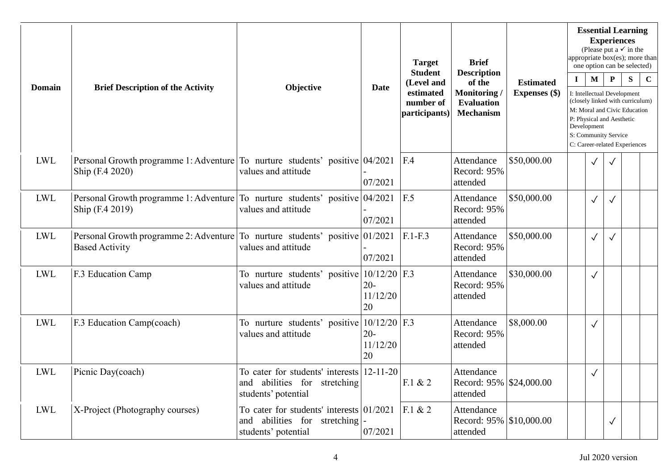| <b>Domain</b> |                                                                                                       | Objective                                                                                           | <b>Target</b>            | <b>Brief</b><br><b>Student</b><br><b>Description</b>  |                                                                |                                   |             |                            | <b>Essential Learning</b><br><b>Experiences</b><br>(Please put a $\checkmark$ in the<br>appropriate box(es); more than<br>one option can be selected)                                                 |           |             |
|---------------|-------------------------------------------------------------------------------------------------------|-----------------------------------------------------------------------------------------------------|--------------------------|-------------------------------------------------------|----------------------------------------------------------------|-----------------------------------|-------------|----------------------------|-------------------------------------------------------------------------------------------------------------------------------------------------------------------------------------------------------|-----------|-------------|
|               | <b>Brief Description of the Activity</b>                                                              |                                                                                                     | <b>Date</b>              | (Level and<br>estimated<br>number of<br>participants) | of the<br>Monitoring/<br><b>Evaluation</b><br><b>Mechanism</b> | <b>Estimated</b><br>Expenses (\$) | $\mathbf I$ | $\mathbf M$<br>Development | $\mathbf{P}$<br>I: Intellectual Development<br>(closely linked with curriculum)<br>M: Moral and Civic Education<br>P: Physical and Aesthetic<br>S: Community Service<br>C: Career-related Experiences | ${\bf S}$ | $\mathbf C$ |
| LWL           | Personal Growth programme 1: Adventure To nurture students' positive 04/2021<br>Ship (F.4 2020)       | values and attitude                                                                                 | 07/2021                  | F.4                                                   | Attendance<br>Record: 95%<br>attended                          | \$50,000.00                       |             | $\checkmark$               | $\checkmark$                                                                                                                                                                                          |           |             |
| LWL           | Personal Growth programme 1: Adventure To nurture students' positive 04/2021<br>Ship (F.4 2019)       | values and attitude                                                                                 | 07/2021                  | F.5                                                   | Attendance<br>Record: 95%<br>attended                          | \$50,000.00                       |             | $\checkmark$               |                                                                                                                                                                                                       |           |             |
| LWL           | Personal Growth programme 2: Adventure To nurture students' positive 01/2021<br><b>Based Activity</b> | values and attitude                                                                                 | 07/2021                  | $F.1-F.3$                                             | Attendance<br>Record: 95%<br>attended                          | \$50,000.00                       |             | $\checkmark$               |                                                                                                                                                                                                       |           |             |
| <b>LWL</b>    | F.3 Education Camp                                                                                    | To nurture students' positive $10/12/20$ F.3<br>values and attitude                                 | $20 -$<br>11/12/20<br>20 |                                                       | Attendance<br>Record: 95%<br>attended                          | \$30,000.00                       |             | $\checkmark$               |                                                                                                                                                                                                       |           |             |
| <b>LWL</b>    | F.3 Education Camp(coach)                                                                             | To nurture students' positive $10/12/20$ F.3<br>values and attitude                                 | $20 -$<br>11/12/20<br>20 |                                                       | Attendance<br>Record: 95%<br>attended                          | \$8,000.00                        |             | $\checkmark$               |                                                                                                                                                                                                       |           |             |
| <b>LWL</b>    | Picnic Day(coach)                                                                                     | To cater for students' interests 12-11-20<br>and abilities for stretching<br>students' potential    |                          | F.1 & 2                                               | Attendance<br>Record: 95% \$24,000.00<br>attended              |                                   |             | $\checkmark$               |                                                                                                                                                                                                       |           |             |
| LWL           | X-Project (Photography courses)                                                                       | To cater for students' interests $ 01/2021 $<br>and abilities for stretching<br>students' potential | 07/2021                  | F.1 & 2                                               | Attendance<br>Record: 95% \\$10,000.00<br>attended             |                                   |             |                            | $\checkmark$                                                                                                                                                                                          |           |             |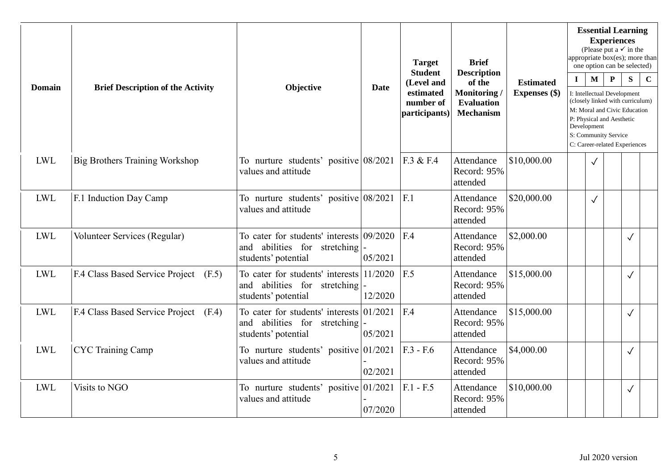| Domain     | <b>Brief Description of the Activity</b> | Objective                                                                                          | <b>Date</b> | <b>Target</b><br><b>Student</b><br>(Level and<br>estimated<br>number of<br>participants) | <b>Brief</b><br><b>Description</b><br>of the<br>Monitoring/<br><b>Evaluation</b><br><b>Mechanism</b> | <b>Estimated</b><br><b>Expenses</b> (\$) | $\mathbf I$ | $\mathbf{M}$<br>Development | <b>Experiences</b><br>$\mathbf{P}$<br>I: Intellectual Development<br>P: Physical and Aesthetic<br>S: Community Service | <b>Essential Learning</b><br>(Please put a $\checkmark$ in the<br>appropriate box(es); more than<br>one option can be selected)<br>S<br>(closely linked with curriculum)<br>M: Moral and Civic Education<br>C: Career-related Experiences | $\mathbf C$ |
|------------|------------------------------------------|----------------------------------------------------------------------------------------------------|-------------|------------------------------------------------------------------------------------------|------------------------------------------------------------------------------------------------------|------------------------------------------|-------------|-----------------------------|------------------------------------------------------------------------------------------------------------------------|-------------------------------------------------------------------------------------------------------------------------------------------------------------------------------------------------------------------------------------------|-------------|
| <b>LWL</b> | <b>Big Brothers Training Workshop</b>    | To nurture students' positive 08/2021<br>values and attitude                                       |             | F.3 & F.4                                                                                | Attendance<br>Record: 95%<br>attended                                                                | \$10,000.00                              |             | $\checkmark$                |                                                                                                                        |                                                                                                                                                                                                                                           |             |
| <b>LWL</b> | F.1 Induction Day Camp                   | To nurture students' positive 08/2021<br>values and attitude                                       |             | F.1                                                                                      | Attendance<br>Record: 95%<br>attended                                                                | \$20,000.00                              |             | $\checkmark$                |                                                                                                                        |                                                                                                                                                                                                                                           |             |
| <b>LWL</b> | Volunteer Services (Regular)             | To cater for students' interests 09/2020<br>and abilities for<br>stretching<br>students' potential | 05/2021     | F.4                                                                                      | Attendance<br>Record: 95%<br>attended                                                                | \$2,000.00                               |             |                             |                                                                                                                        | $\checkmark$                                                                                                                                                                                                                              |             |
| <b>LWL</b> | F.4 Class Based Service Project (F.5)    | To cater for students' interests 11/2020<br>and abilities for stretching<br>students' potential    | 12/2020     | F.5                                                                                      | Attendance<br>Record: 95%<br>attended                                                                | \$15,000.00                              |             |                             |                                                                                                                        | $\checkmark$                                                                                                                                                                                                                              |             |
| <b>LWL</b> | F.4 Class Based Service Project (F.4)    | To cater for students' interests $01/2021$<br>and abilities for stretching<br>students' potential  | 05/2021     | F.4                                                                                      | Attendance<br>Record: 95%<br>attended                                                                | \$15,000.00                              |             |                             |                                                                                                                        | $\checkmark$                                                                                                                                                                                                                              |             |
| <b>LWL</b> | <b>CYC</b> Training Camp                 | To nurture students' positive 01/2021<br>values and attitude                                       | 02/2021     | $F.3 - F.6$                                                                              | Attendance<br>Record: 95%<br>attended                                                                | \$4,000.00                               |             |                             |                                                                                                                        | $\checkmark$                                                                                                                                                                                                                              |             |
| <b>LWL</b> | Visits to NGO                            | To nurture students' positive 01/2021<br>values and attitude                                       | 07/2020     | $F.1 - F.5$                                                                              | Attendance<br>Record: 95%<br>attended                                                                | \$10,000.00                              |             |                             |                                                                                                                        | $\checkmark$                                                                                                                                                                                                                              |             |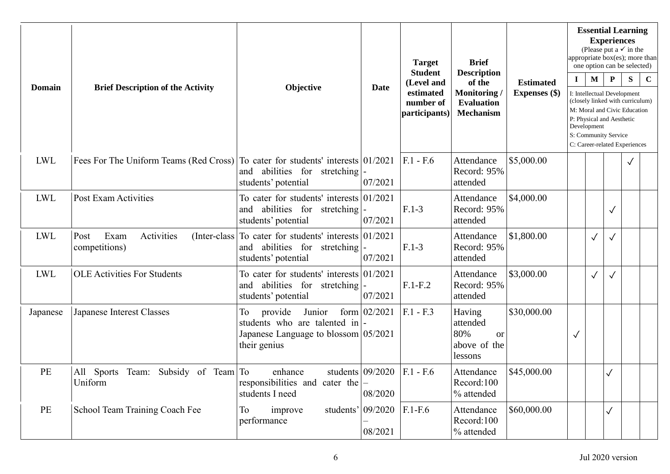|               |                                                                                 |                                                                                                                     |                               | <b>Target</b><br><b>Student</b>                       | <b>Brief</b><br><b>Description</b>                                |                                          |              |                             | <b>Experiences</b>                                                | <b>Essential Learning</b><br>(Please put a $\checkmark$ in the<br>appropriate box(es); more than<br>one option can be selected)       |             |
|---------------|---------------------------------------------------------------------------------|---------------------------------------------------------------------------------------------------------------------|-------------------------------|-------------------------------------------------------|-------------------------------------------------------------------|------------------------------------------|--------------|-----------------------------|-------------------------------------------------------------------|---------------------------------------------------------------------------------------------------------------------------------------|-------------|
| <b>Domain</b> | <b>Brief Description of the Activity</b>                                        | Objective                                                                                                           | Date                          | (Level and<br>estimated<br>number of<br>participants) | of the<br>Monitoring/<br><b>Evaluation</b><br><b>Mechanism</b>    | <b>Estimated</b><br><b>Expenses</b> (\$) | $\bf{I}$     | $\mathbf{M}$<br>Development | $\mathbf{P}$<br>P: Physical and Aesthetic<br>S: Community Service | S<br>I: Intellectual Development<br>(closely linked with curriculum)<br>M: Moral and Civic Education<br>C: Career-related Experiences | $\mathbf C$ |
| <b>LWL</b>    | Fees For The Uniform Teams (Red Cross) To cater for students' interests 01/2021 | and abilities for stretching<br>students' potential                                                                 | 07/2021                       | $F.1 - F.6$                                           | Attendance<br>Record: 95%<br>attended                             | \$5,000.00                               |              |                             |                                                                   | √                                                                                                                                     |             |
| <b>LWL</b>    | Post Exam Activities                                                            | To cater for students' interests 01/2021<br>and abilities for stretching<br>students' potential                     | 07/2021                       | $F.1-3$                                               | Attendance<br>Record: 95%<br>attended                             | \$4,000.00                               |              |                             | $\checkmark$                                                      |                                                                                                                                       |             |
| <b>LWL</b>    | Post<br>Exam<br>Activities<br>(Inter-class)<br>competitions)                    | To cater for students' interests $01/2021$<br>and abilities for stretching<br>students' potential                   | 07/2021                       | $F.1-3$                                               | Attendance<br>Record: 95%<br>attended                             | \$1,800.00                               |              | $\checkmark$                |                                                                   |                                                                                                                                       |             |
| <b>LWL</b>    | <b>OLE Activities For Students</b>                                              | To cater for students' interests $01/2021$<br>abilities for stretching<br>and<br>students' potential                | 07/2021                       | $F.1-F.2$                                             | Attendance<br>Record: 95%<br>attended                             | \$3,000.00                               |              | $\checkmark$                |                                                                   |                                                                                                                                       |             |
| Japanese      | Japanese Interest Classes                                                       | To<br>provide<br>Junior<br>students who are talented in<br>Japanese Language to blossom $ 05/2021 $<br>their genius | form $02/2021$                | $F.1 - F.3$                                           | Having<br>attended<br>80%<br><b>or</b><br>above of the<br>lessons | \$30,000.00                              | $\checkmark$ |                             |                                                                   |                                                                                                                                       |             |
| PE            | All Sports Team: Subsidy of Team To<br>Uniform                                  | enhance<br>responsibilities and cater the $ -$<br>students I need                                                   | students $09/2020$<br>08/2020 | $F.1 - F.6$                                           | Attendance<br>Record:100<br>% attended                            | \$45,000.00                              |              |                             | $\checkmark$                                                      |                                                                                                                                       |             |
| PE            | School Team Training Coach Fee                                                  | students' 09/2020<br>To<br>improve<br>performance                                                                   | 08/2021                       | $F.1-F.6$                                             | Attendance<br>Record:100<br>% attended                            | \$60,000.00                              |              |                             | $\checkmark$                                                      |                                                                                                                                       |             |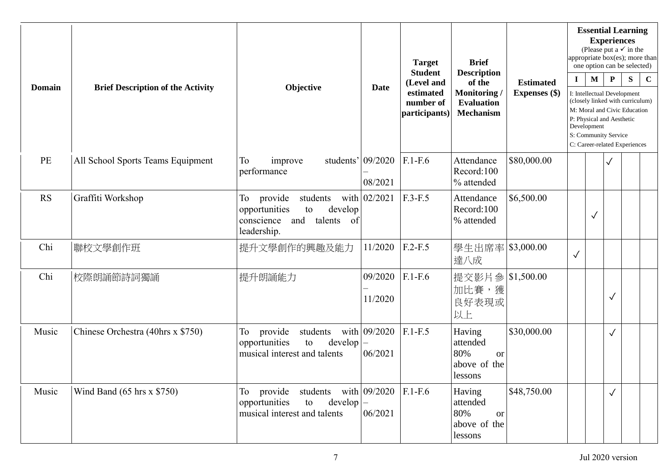| <b>Domain</b> |                                          |                                                                                                                    |                         | <b>Target</b><br><b>Student</b>         | <b>Brief</b><br><b>Description</b>                                    |                  |              |              | <b>Essential Learning</b><br><b>Experiences</b><br>(Please put a $\checkmark$ in the<br>appropriate box(es); more than<br>one option can be selected)                                 |           |             |
|---------------|------------------------------------------|--------------------------------------------------------------------------------------------------------------------|-------------------------|-----------------------------------------|-----------------------------------------------------------------------|------------------|--------------|--------------|---------------------------------------------------------------------------------------------------------------------------------------------------------------------------------------|-----------|-------------|
|               | <b>Brief Description of the Activity</b> | Objective                                                                                                          | <b>Date</b>             | (Level and                              | of the                                                                | <b>Estimated</b> | $\mathbf I$  | M            | ${\bf P}$                                                                                                                                                                             | ${\bf S}$ | $\mathbf C$ |
|               |                                          |                                                                                                                    |                         | estimated<br>number of<br>participants) | Monitoring<br><b>Evaluation</b><br><b>Mechanism</b>                   | Expenses (\$)    | Development  |              | I: Intellectual Development<br>(closely linked with curriculum)<br>M: Moral and Civic Education<br>P: Physical and Aesthetic<br>S: Community Service<br>C: Career-related Experiences |           |             |
| PE            | All School Sports Teams Equipment        | To<br>students' $09/2020$<br>improve<br>performance                                                                | 08/2021                 | $F.1-F.6$                               | Attendance<br>Record:100<br>% attended                                | \$80,000.00      |              |              |                                                                                                                                                                                       |           |             |
| <b>RS</b>     | Graffiti Workshop                        | To<br>provide<br>students<br>opportunities<br>develop<br>to<br>conscience<br>and<br>talents<br>of<br>leadership.   | with $02/2021$          | $F.3-F.5$                               | Attendance<br>Record:100<br>% attended                                | \$6,500.00       |              | $\checkmark$ |                                                                                                                                                                                       |           |             |
| Chi           | 聯校文學創作班                                  | 提升文學創作的興趣及能力                                                                                                       | 11/2020                 | $F.2-F.5$                               | 學生出席率 \$3,000.00<br>達八成                                               |                  | $\checkmark$ |              |                                                                                                                                                                                       |           |             |
| Chi           | 校際朗誦節詩詞獨誦                                | 提升朗誦能力                                                                                                             | 09/2020<br>11/2020      | $F.1-F.6$                               | 提交影片參 \$1,500.00<br>加比賽,獲<br>良好表現或<br>以上                              |                  |              |              | $\checkmark$                                                                                                                                                                          |           |             |
| Music         | Chinese Orchestra (40hrs x \$750)        | To<br>provide<br>students<br>opportunities<br>to<br>$develp$ –<br>musical interest and talents                     | with 09/2020<br>06/2021 | $F.1-F.5$                               | Having<br>attended<br>80%<br><sub>or</sub><br>above of the<br>lessons | \$30,000.00      |              |              | $\checkmark$                                                                                                                                                                          |           |             |
| Music         | Wind Band $(65 \text{ hrs} \times $750)$ | students with $09/2020$ F.1-F.6<br>To provide<br>opportunities<br>$develp$ –<br>to<br>musical interest and talents | 06/2021                 |                                         | Having<br>attended<br>80%<br><sub>or</sub><br>above of the<br>lessons | \$48,750.00      |              |              | $\checkmark$                                                                                                                                                                          |           |             |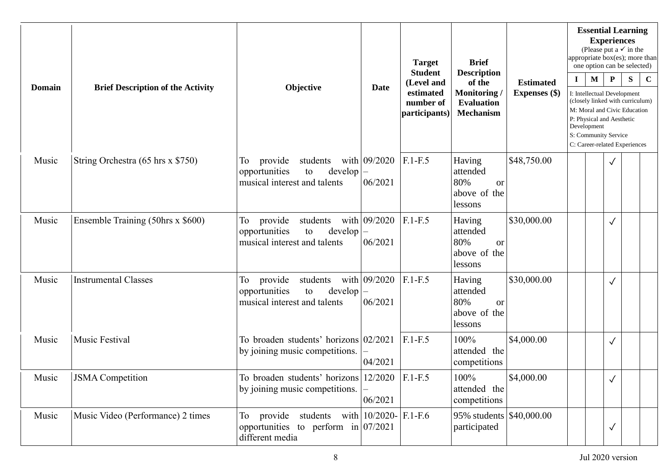|               |                                          |                                                                                                            |                         | <b>Target</b><br><b>Student</b><br>(Level and | <b>Brief</b><br><b>Description</b><br>of the                          | <b>Estimated</b>     | $\bf{I}$ | <b>Essential Learning</b><br>(Please put a $\checkmark$ in the<br>appropriate box(es); more than<br>one option can be selected)<br>$\mathbf{M}$                                                      | <b>Experiences</b><br>$\mathbf{P}$ | ${\bf S}$ | $\mathbf C$ |
|---------------|------------------------------------------|------------------------------------------------------------------------------------------------------------|-------------------------|-----------------------------------------------|-----------------------------------------------------------------------|----------------------|----------|------------------------------------------------------------------------------------------------------------------------------------------------------------------------------------------------------|------------------------------------|-----------|-------------|
| <b>Domain</b> | <b>Brief Description of the Activity</b> | Objective                                                                                                  | <b>Date</b>             | estimated<br>number of<br>participants)       | Monitoring/<br><b>Evaluation</b><br><b>Mechanism</b>                  | <b>Expenses</b> (\$) |          | I: Intellectual Development<br>(closely linked with curriculum)<br>M: Moral and Civic Education<br>P: Physical and Aesthetic<br>Development<br>S: Community Service<br>C: Career-related Experiences |                                    |           |             |
| Music         | String Orchestra (65 hrs x \$750)        | To<br>provide<br>students<br>opportunities<br>to<br>develop<br>musical interest and talents                | with 09/2020<br>06/2021 | $F.1-F.5$                                     | Having<br>attended<br>80%<br><b>or</b><br>above of the<br>lessons     | \$48,750.00          |          |                                                                                                                                                                                                      | $\checkmark$                       |           |             |
| Music         | Ensemble Training (50hrs x \$600)        | To<br>students<br>provide<br>opportunities<br>to<br>develop<br>musical interest and talents                | with 09/2020<br>06/2021 | $F.1-F.5$                                     | Having<br>attended<br>80%<br><sub>or</sub><br>above of the<br>lessons | \$30,000.00          |          |                                                                                                                                                                                                      | $\checkmark$                       |           |             |
| Music         | <b>Instrumental Classes</b>              | provide<br>students<br>To<br>opportunities<br>develop<br>to<br>musical interest and talents                | with 09/2020<br>06/2021 | $F.1-F.5$                                     | Having<br>attended<br>80%<br><b>or</b><br>above of the<br>lessons     | \$30,000.00          |          |                                                                                                                                                                                                      | $\checkmark$                       |           |             |
| Music         | Music Festival                           | To broaden students' horizons $02/2021$<br>by joining music competitions.                                  | 04/2021                 | $F.1-F.5$                                     | 100%<br>attended the<br>competitions                                  | \$4,000.00           |          |                                                                                                                                                                                                      | $\checkmark$                       |           |             |
| Music         | <b>JSMA</b> Competition                  | To broaden students' horizons $12/2020$ F.1-F.5<br>by joining music competitions.                          | 06/2021                 |                                               | 100%<br>attended the<br>competitions                                  | \$4,000.00           |          |                                                                                                                                                                                                      | $\checkmark$                       |           |             |
| Music         | Music Video (Performance) 2 times        | To provide students with $10/2020 - F.1 - F.6$<br>opportunities to perform in $07/2021$<br>different media |                         |                                               | 95% students \$40,000.00<br>participated                              |                      |          |                                                                                                                                                                                                      | $\checkmark$                       |           |             |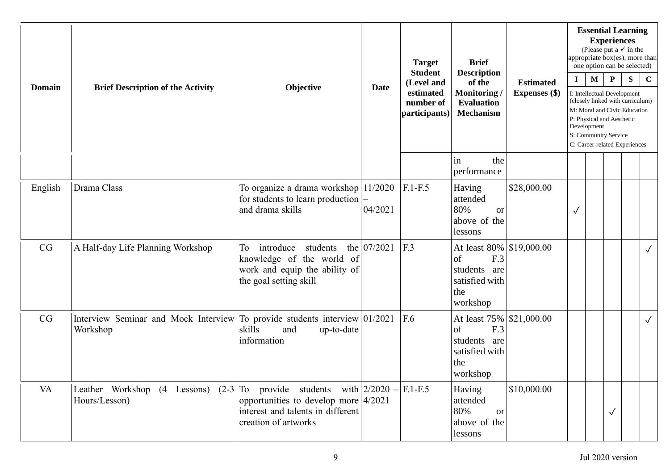| <b>Domain</b> | <b>Brief Description of the Activity</b>                                                  | Objective                                                                                                           | Date        | <b>Target</b><br><b>Student</b><br>(Level and<br>estimated<br>number of<br>participants) | <b>Brief</b><br><b>Description</b><br>of the<br>Monitoring/<br><b>Evaluation</b><br><b>Mechanism</b> | <b>Estimated</b><br><b>Expenses</b> (\$) | $\mathbf{I}$ | <b>Essential Learning</b><br>(Please put a $\checkmark$ in the<br>appropriate box(es); more than<br>one option can be selected)<br>$\mathbf{M}$<br>I: Intellectual Development<br>(closely linked with curriculum)<br>M: Moral and Civic Education<br>P: Physical and Aesthetic<br>Development<br>S: Community Service<br>C: Career-related Experiences | <b>Experiences</b><br>$\mathbf{P}$ | ${\bf S}$ | $\mathbf C$  |
|---------------|-------------------------------------------------------------------------------------------|---------------------------------------------------------------------------------------------------------------------|-------------|------------------------------------------------------------------------------------------|------------------------------------------------------------------------------------------------------|------------------------------------------|--------------|---------------------------------------------------------------------------------------------------------------------------------------------------------------------------------------------------------------------------------------------------------------------------------------------------------------------------------------------------------|------------------------------------|-----------|--------------|
|               |                                                                                           |                                                                                                                     |             |                                                                                          | the<br>in<br>performance                                                                             |                                          |              |                                                                                                                                                                                                                                                                                                                                                         |                                    |           |              |
| English       | Drama Class                                                                               | To organize a drama workshop 11/2020<br>for students to learn production<br>and drama skills                        | 04/2021     | $F.1-F.5$                                                                                | Having<br>attended<br>80%<br><b>or</b><br>above of the<br>lessons                                    | \$28,000.00                              | $\checkmark$ |                                                                                                                                                                                                                                                                                                                                                         |                                    |           |              |
| CG            | A Half-day Life Planning Workshop                                                         | introduce<br>students<br>To<br>knowledge of the world of<br>work and equip the ability of<br>the goal setting skill | the 07/2021 | F.3                                                                                      | At least 80%   \$19,000.00<br>of<br>F.3<br>students are<br>satisfied with<br>the<br>workshop         |                                          |              |                                                                                                                                                                                                                                                                                                                                                         |                                    |           | $\checkmark$ |
| CG            | Interview Seminar and Mock Interview<br>Workshop                                          | To provide students interview 01/2021<br>skills<br>and<br>up-to-date<br>information                                 |             | F.6                                                                                      | At least 75% \$21,000.00<br>F.3<br>of<br>students are<br>satisfied with<br>the<br>workshop           |                                          |              |                                                                                                                                                                                                                                                                                                                                                         |                                    |           | $\checkmark$ |
| VA            | Leather Workshop (4 Lessons) $(2-3)$ To provide students with $2/2020$ –<br>Hours/Lesson) | opportunities to develop more $4/2021$<br>interest and talents in different<br>creation of artworks                 |             | $F.1-F.5$                                                                                | Having<br>attended<br>80%<br><b>or</b><br>above of the<br>lessons                                    | \$10,000.00                              |              |                                                                                                                                                                                                                                                                                                                                                         | $\checkmark$                       |           |              |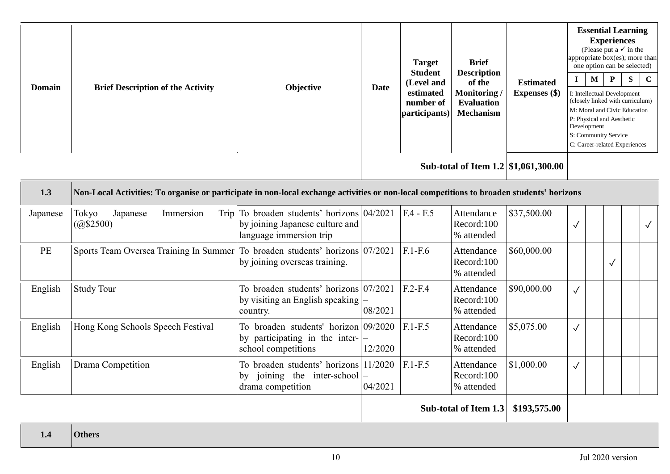| <b>Domain</b> | <b>Brief Description of the Activity</b> | Objective | <b>Date</b> | <b>Target</b><br><b>Student</b><br>(Level and<br>estimated<br>number of<br>participants) | <b>Brief</b><br><b>Description</b><br>of the<br>Monitoring/<br><b>Evaluation</b><br><b>Mechanism</b> | <b>Estimated</b><br><b>Expenses</b> (\$) | appropriate box(es); more than<br>P: Physical and Aesthetic<br>Development<br>S: Community Service<br>C: Career-related Experiences | <b>Essential Learning</b><br><b>Experiences</b><br>(Please put a $\checkmark$ in the<br>one option can be selected)<br>M<br>I: Intellectual Development<br>(closely linked with curriculum)<br>M: Moral and Civic Education | $\mathbf{P}$ | -S | $\mathbf C$ |
|---------------|------------------------------------------|-----------|-------------|------------------------------------------------------------------------------------------|------------------------------------------------------------------------------------------------------|------------------------------------------|-------------------------------------------------------------------------------------------------------------------------------------|-----------------------------------------------------------------------------------------------------------------------------------------------------------------------------------------------------------------------------|--------------|----|-------------|
|               |                                          |           |             |                                                                                          |                                                                                                      |                                          |                                                                                                                                     |                                                                                                                                                                                                                             |              |    |             |

**Sub-total of Item 1.2 \$1,061,300.00**

| 1.3      | Non-Local Activities: To organise or participate in non-local exchange activities or non-local competitions to broaden students' horizons |                                                                                                            |         |             |                                        |             |            |   |  |
|----------|-------------------------------------------------------------------------------------------------------------------------------------------|------------------------------------------------------------------------------------------------------------|---------|-------------|----------------------------------------|-------------|------------|---|--|
| Japanese | Tokyo<br>Japanese<br>Immersion<br>(Q\$2500)                                                                                               | Trip To broaden students' horizons $04/2021$<br>by joining Japanese culture and<br>language immersion trip |         | $F.4 - F.5$ | Attendance<br>Record:100<br>% attended | \$37,500.00 | $\sqrt{}$  |   |  |
| PE       | Sports Team Oversea Training In Summer To broaden students' horizons 07/2021                                                              | by joining overseas training.                                                                              |         | $F.1-F.6$   | Attendance<br>Record:100<br>% attended | \$60,000.00 |            | √ |  |
| English  | <b>Study Tour</b>                                                                                                                         | To broaden students' horizons $07/2021$<br>by visiting an English speaking $ -$<br>country.                | 08/2021 | $F.2-F.4$   | Attendance<br>Record:100<br>% attended | \$90,000.00 | $\sqrt{ }$ |   |  |
| English  | Hong Kong Schools Speech Festival                                                                                                         | To broaden students' horizon 09/2020<br>by participating in the inter- $ -$<br>school competitions         | 12/2020 | $F.1-F.5$   | Attendance<br>Record:100<br>% attended | \$5,075.00  | $\sqrt{ }$ |   |  |
| English  | Drama Competition                                                                                                                         | To broaden students' horizons 11/2020<br>joining the inter-school $ -$<br>bv<br>drama competition          | 04/2021 | $F.1-F.5$   | Attendance<br>Record:100<br>% attended | \$1,000.00  | $\sqrt{ }$ |   |  |

**Sub-total of Item 1.3 \$193,575.00**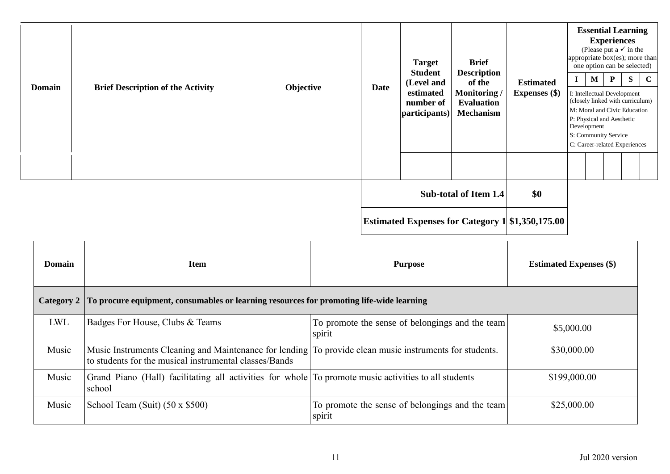| <b>Domain</b> | <b>Brief Description of the Activity</b> | Objective | <b>Date</b> | <b>Target</b><br><b>Student</b><br>(Level and<br>estimated<br>number of<br>participants) | <b>Brief</b><br><b>Description</b><br>of the<br>Monitoring/<br><b>Evaluation</b><br><b>Mechanism</b> | <b>Estimated</b><br>Expenses $(\$)$                     | <b>Essential Learning</b><br><b>Experiences</b><br>(Please put a $\checkmark$ in the<br>appropriate box(es); more than<br>one option can be selected)<br>$\mathbf{P}$<br>$\mathbf{M}$<br>I: Intellectual Development<br>(closely linked with curriculum)<br>M: Moral and Civic Education<br>P: Physical and Aesthetic<br>Development<br>S: Community Service<br>C: Career-related Experiences | S<br>$\mathbf C$ |
|---------------|------------------------------------------|-----------|-------------|------------------------------------------------------------------------------------------|------------------------------------------------------------------------------------------------------|---------------------------------------------------------|-----------------------------------------------------------------------------------------------------------------------------------------------------------------------------------------------------------------------------------------------------------------------------------------------------------------------------------------------------------------------------------------------|------------------|
|               |                                          |           |             |                                                                                          |                                                                                                      |                                                         |                                                                                                                                                                                                                                                                                                                                                                                               |                  |
|               |                                          |           |             |                                                                                          | Sub-total of Item 1.4                                                                                | \$0                                                     |                                                                                                                                                                                                                                                                                                                                                                                               |                  |
|               |                                          |           |             |                                                                                          |                                                                                                      | <b>Estimated Expenses for Category 1 \$1,350,175.00</b> |                                                                                                                                                                                                                                                                                                                                                                                               |                  |

| <b>Domain</b> | <b>Item</b>                                                                                                                                                       | <b>Purpose</b>                                            | <b>Estimated Expenses</b> (\$) |  |  |
|---------------|-------------------------------------------------------------------------------------------------------------------------------------------------------------------|-----------------------------------------------------------|--------------------------------|--|--|
| Category 2    | To procure equipment, consumables or learning resources for promoting life-wide learning                                                                          |                                                           |                                |  |  |
| LWL           | Badges For House, Clubs & Teams                                                                                                                                   | To promote the sense of belongings and the team<br>spirit | \$5,000.00                     |  |  |
| Music         | Music Instruments Cleaning and Maintenance for lending To provide clean music instruments for students.<br>to students for the musical instrumental classes/Bands |                                                           | \$30,000.00                    |  |  |
| Music         | Grand Piano (Hall) facilitating all activities for whole To promote music activities to all students<br>school                                                    |                                                           | \$199,000.00                   |  |  |
| Music         | School Team (Suit) (50 x \$500)                                                                                                                                   | To promote the sense of belongings and the team<br>spirit | \$25,000.00                    |  |  |